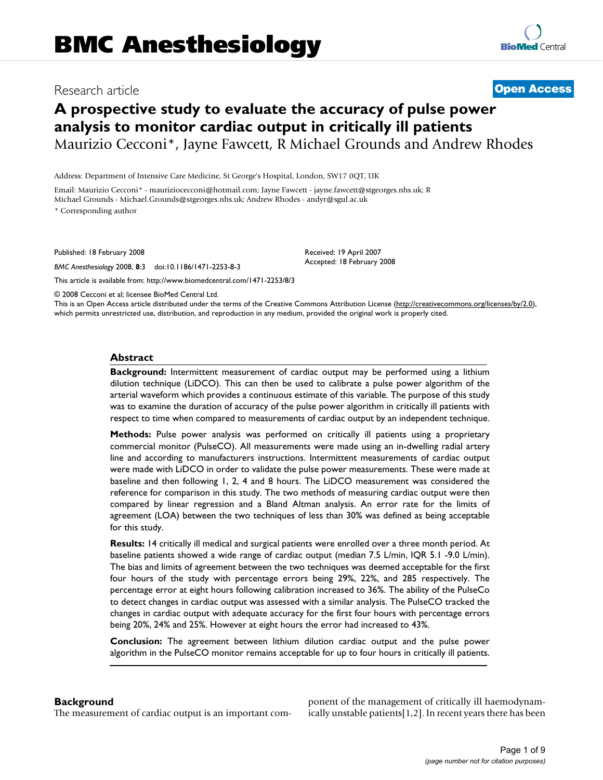## Research article **[Open Access](http://www.biomedcentral.com/info/about/charter/)**

# **A prospective study to evaluate the accuracy of pulse power analysis to monitor cardiac output in critically ill patients** Maurizio Cecconi\*, Jayne Fawcett, R Michael Grounds and Andrew Rhodes

Address: Department of Intensive Care Medicine, St George's Hospital, London, SW17 0QT, UK

Email: Maurizio Cecconi<sup>\*</sup> - mauriziocecconi@hotmail.com; Jayne Fawcett - jayne.fawcett@stgeorges.nhs.uk; R Michael Grounds - Michael.Grounds@stgeorges.nhs.uk; Andrew Rhodes - andyr@sgul.ac.uk

\* Corresponding author

Published: 18 February 2008

*BMC Anesthesiology* 2008, **8**:3 doi:10.1186/1471-2253-8-3

[This article is available from: http://www.biomedcentral.com/1471-2253/8/3](http://www.biomedcentral.com/1471-2253/8/3)

Received: 19 April 2007 Accepted: 18 February 2008

© 2008 Cecconi et al; licensee BioMed Central Ltd.

This is an Open Access article distributed under the terms of the Creative Commons Attribution License [\(http://creativecommons.org/licenses/by/2.0\)](http://creativecommons.org/licenses/by/2.0), which permits unrestricted use, distribution, and reproduction in any medium, provided the original work is properly cited.

#### **Abstract**

**Background:** Intermittent measurement of cardiac output may be performed using a lithium dilution technique (LiDCO). This can then be used to calibrate a pulse power algorithm of the arterial waveform which provides a continuous estimate of this variable. The purpose of this study was to examine the duration of accuracy of the pulse power algorithm in critically ill patients with respect to time when compared to measurements of cardiac output by an independent technique.

**Methods:** Pulse power analysis was performed on critically ill patients using a proprietary commercial monitor (PulseCO). All measurements were made using an in-dwelling radial artery line and according to manufacturers instructions. Intermittent measurements of cardiac output were made with LiDCO in order to validate the pulse power measurements. These were made at baseline and then following 1, 2, 4 and 8 hours. The LiDCO measurement was considered the reference for comparison in this study. The two methods of measuring cardiac output were then compared by linear regression and a Bland Altman analysis. An error rate for the limits of agreement (LOA) between the two techniques of less than 30% was defined as being acceptable for this study.

**Results:** 14 critically ill medical and surgical patients were enrolled over a three month period. At baseline patients showed a wide range of cardiac output (median 7.5 L/min, IQR 5.1 -9.0 L/min). The bias and limits of agreement between the two techniques was deemed acceptable for the first four hours of the study with percentage errors being 29%, 22%, and 285 respectively. The percentage error at eight hours following calibration increased to 36%. The ability of the PulseCo to detect changes in cardiac output was assessed with a similar analysis. The PulseCO tracked the changes in cardiac output with adequate accuracy for the first four hours with percentage errors being 20%, 24% and 25%. However at eight hours the error had increased to 43%.

**Conclusion:** The agreement between lithium dilution cardiac output and the pulse power algorithm in the PulseCO monitor remains acceptable for up to four hours in critically ill patients.

#### **Background**

The measurement of cardiac output is an important com-

ponent of the management of critically ill haemodynamically unstable patients[1,2]. In recent years there has been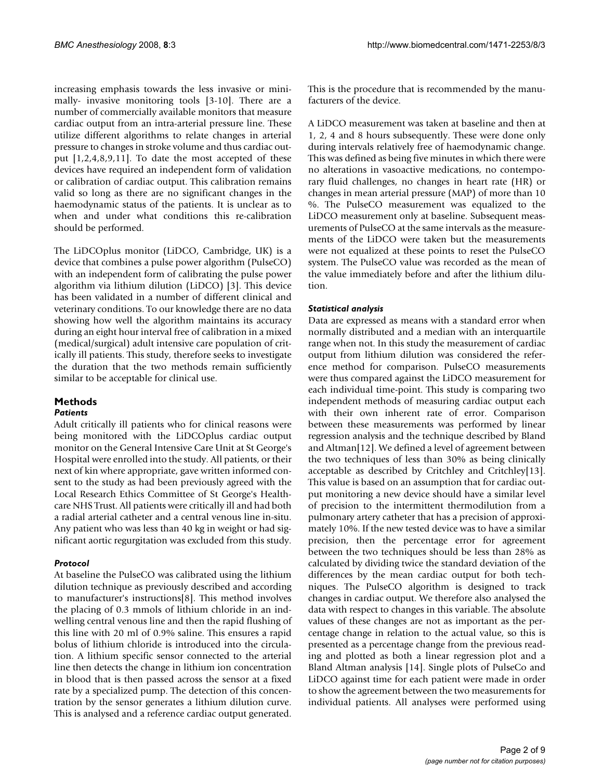increasing emphasis towards the less invasive or minimally- invasive monitoring tools [3-10]. There are a number of commercially available monitors that measure cardiac output from an intra-arterial pressure line. These utilize different algorithms to relate changes in arterial pressure to changes in stroke volume and thus cardiac output  $[1,2,4,8,9,11]$ . To date the most accepted of these devices have required an independent form of validation or calibration of cardiac output. This calibration remains valid so long as there are no significant changes in the haemodynamic status of the patients. It is unclear as to when and under what conditions this re-calibration should be performed.

The LiDCOplus monitor (LiDCO, Cambridge, UK) is a device that combines a pulse power algorithm (PulseCO) with an independent form of calibrating the pulse power algorithm via lithium dilution (LiDCO) [3]. This device has been validated in a number of different clinical and veterinary conditions. To our knowledge there are no data showing how well the algorithm maintains its accuracy during an eight hour interval free of calibration in a mixed (medical/surgical) adult intensive care population of critically ill patients. This study, therefore seeks to investigate the duration that the two methods remain sufficiently similar to be acceptable for clinical use.

# **Methods**

### *Patients*

Adult critically ill patients who for clinical reasons were being monitored with the LiDCOplus cardiac output monitor on the General Intensive Care Unit at St George's Hospital were enrolled into the study. All patients, or their next of kin where appropriate, gave written informed consent to the study as had been previously agreed with the Local Research Ethics Committee of St George's Healthcare NHS Trust. All patients were critically ill and had both a radial arterial catheter and a central venous line in-situ. Any patient who was less than 40 kg in weight or had significant aortic regurgitation was excluded from this study.

#### *Protocol*

At baseline the PulseCO was calibrated using the lithium dilution technique as previously described and according to manufacturer's instructions[8]. This method involves the placing of 0.3 mmols of lithium chloride in an indwelling central venous line and then the rapid flushing of this line with 20 ml of 0.9% saline. This ensures a rapid bolus of lithium chloride is introduced into the circulation. A lithium specific sensor connected to the arterial line then detects the change in lithium ion concentration in blood that is then passed across the sensor at a fixed rate by a specialized pump. The detection of this concentration by the sensor generates a lithium dilution curve. This is analysed and a reference cardiac output generated.

This is the procedure that is recommended by the manufacturers of the device.

A LiDCO measurement was taken at baseline and then at 1, 2, 4 and 8 hours subsequently. These were done only during intervals relatively free of haemodynamic change. This was defined as being five minutes in which there were no alterations in vasoactive medications, no contemporary fluid challenges, no changes in heart rate (HR) or changes in mean arterial pressure (MAP) of more than 10 %. The PulseCO measurement was equalized to the LiDCO measurement only at baseline. Subsequent measurements of PulseCO at the same intervals as the measurements of the LiDCO were taken but the measurements were not equalized at these points to reset the PulseCO system. The PulseCO value was recorded as the mean of the value immediately before and after the lithium dilution.

#### *Statistical analysis*

Data are expressed as means with a standard error when normally distributed and a median with an interquartile range when not. In this study the measurement of cardiac output from lithium dilution was considered the reference method for comparison. PulseCO measurements were thus compared against the LiDCO measurement for each individual time-point. This study is comparing two independent methods of measuring cardiac output each with their own inherent rate of error. Comparison between these measurements was performed by linear regression analysis and the technique described by Bland and Altman[12]. We defined a level of agreement between the two techniques of less than 30% as being clinically acceptable as described by Critchley and Critchley[13]. This value is based on an assumption that for cardiac output monitoring a new device should have a similar level of precision to the intermittent thermodilution from a pulmonary artery catheter that has a precision of approximately 10%. If the new tested device was to have a similar precision, then the percentage error for agreement between the two techniques should be less than 28% as calculated by dividing twice the standard deviation of the differences by the mean cardiac output for both techniques. The PulseCO algorithm is designed to track changes in cardiac output. We therefore also analysed the data with respect to changes in this variable. The absolute values of these changes are not as important as the percentage change in relation to the actual value, so this is presented as a percentage change from the previous reading and plotted as both a linear regression plot and a Bland Altman analysis [14]. Single plots of PulseCo and LiDCO against time for each patient were made in order to show the agreement between the two measurements for individual patients. All analyses were performed using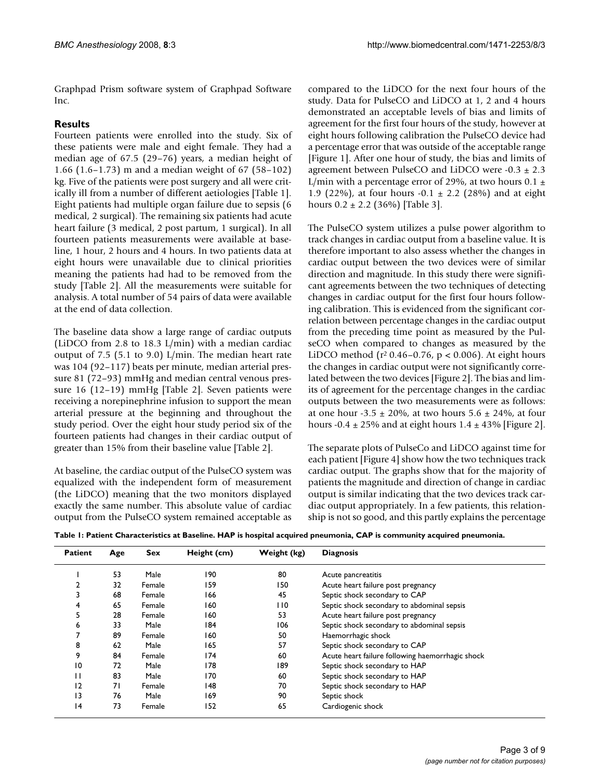Graphpad Prism software system of Graphpad Software Inc.

## **Results**

Fourteen patients were enrolled into the study. Six of these patients were male and eight female. They had a median age of 67.5 (29–76) years, a median height of 1.66 (1.6–1.73) m and a median weight of 67 (58–102) kg. Five of the patients were post surgery and all were critically ill from a number of different aetiologies [Table 1]. Eight patients had multiple organ failure due to sepsis (6 medical, 2 surgical). The remaining six patients had acute heart failure (3 medical, 2 post partum, 1 surgical). In all fourteen patients measurements were available at baseline, 1 hour, 2 hours and 4 hours. In two patients data at eight hours were unavailable due to clinical priorities meaning the patients had had to be removed from the study [Table 2]. All the measurements were suitable for analysis. A total number of 54 pairs of data were available at the end of data collection.

The baseline data show a large range of cardiac outputs (LiDCO from 2.8 to 18.3 L/min) with a median cardiac output of 7.5 (5.1 to 9.0) L/min. The median heart rate was 104 (92–117) beats per minute, median arterial pressure 81 (72–93) mmHg and median central venous pressure 16 (12–19) mmHg [Table 2]. Seven patients were receiving a norepinephrine infusion to support the mean arterial pressure at the beginning and throughout the study period. Over the eight hour study period six of the fourteen patients had changes in their cardiac output of greater than 15% from their baseline value [Table 2].

At baseline, the cardiac output of the PulseCO system was equalized with the independent form of measurement (the LiDCO) meaning that the two monitors displayed exactly the same number. This absolute value of cardiac output from the PulseCO system remained acceptable as compared to the LiDCO for the next four hours of the study. Data for PulseCO and LiDCO at 1, 2 and 4 hours demonstrated an acceptable levels of bias and limits of agreement for the first four hours of the study, however at eight hours following calibration the PulseCO device had a percentage error that was outside of the acceptable range [Figure 1]. After one hour of study, the bias and limits of agreement between PulseCO and LiDCO were  $-0.3 \pm 2.3$ L/min with a percentage error of 29%, at two hours  $0.1 \pm$ 1.9 (22%), at four hours  $-0.1 \pm 2.2$  (28%) and at eight hours  $0.2 \pm 2.2$  (36%) [Table 3].

The PulseCO system utilizes a pulse power algorithm to track changes in cardiac output from a baseline value. It is therefore important to also assess whether the changes in cardiac output between the two devices were of similar direction and magnitude. In this study there were significant agreements between the two techniques of detecting changes in cardiac output for the first four hours following calibration. This is evidenced from the significant correlation between percentage changes in the cardiac output from the preceding time point as measured by the PulseCO when compared to changes as measured by the LiDCO method ( $r^2$  0.46–0.76,  $p < 0.006$ ). At eight hours the changes in cardiac output were not significantly correlated between the two devices [Figure 2]. The bias and limits of agreement for the percentage changes in the cardiac outputs between the two measurements were as follows: at one hour  $-3.5 \pm 20\%$ , at two hours  $5.6 \pm 24\%$ , at four hours  $-0.4 \pm 25\%$  and at eight hours  $1.4 \pm 43\%$  [Figure 2].

The separate plots of PulseCo and LiDCO against time for each patient [Figure 4] show how the two techniques track cardiac output. The graphs show that for the majority of patients the magnitude and direction of change in cardiac output is similar indicating that the two devices track cardiac output appropriately. In a few patients, this relationship is not so good, and this partly explains the percentage

| Table I: Patient Characteristics at Baseline. HAP is hospital acquired pneumonia, CAP is community acquired pneumonia. |  |  |  |
|------------------------------------------------------------------------------------------------------------------------|--|--|--|
|------------------------------------------------------------------------------------------------------------------------|--|--|--|

| <b>Patient</b> | Age | Sex    | Height (cm) | Weight (kg) | <b>Diagnosis</b>                                 |
|----------------|-----|--------|-------------|-------------|--------------------------------------------------|
|                | 53  | Male   | 190         | 80          | Acute pancreatitis                               |
|                | 32  | Female | 159         | 150         | Acute heart failure post pregnancy               |
| 3              | 68  | Female | 166         | 45          | Septic shock secondary to CAP                    |
| 4              | 65  | Female | 160         | 110         | Septic shock secondary to abdominal sepsis       |
| כ              | 28  | Female | 160         | 53          | Acute heart failure post pregnancy               |
| 6              | 33  | Male   | 184         | 106         | Septic shock secondary to abdominal sepsis       |
|                | 89  | Female | 160         | 50          | Haemorrhagic shock                               |
| 8              | 62  | Male   | 165         | 57          | Septic shock secondary to CAP                    |
| 9              | 84  | Female | 174         | 60          | Acute heart failure following haemorrhagic shock |
| 10             | 72  | Male   | 178         | 189         | Septic shock secondary to HAP                    |
| Н              | 83  | Male   | 170         | 60          | Septic shock secondary to HAP                    |
| 12             | 71  | Female | 148         | 70          | Septic shock secondary to HAP                    |
| 13             | 76  | Male   | 169         | 90          | Septic shock                                     |
| 4              | 73  | Female | 152         | 65          | Cardiogenic shock                                |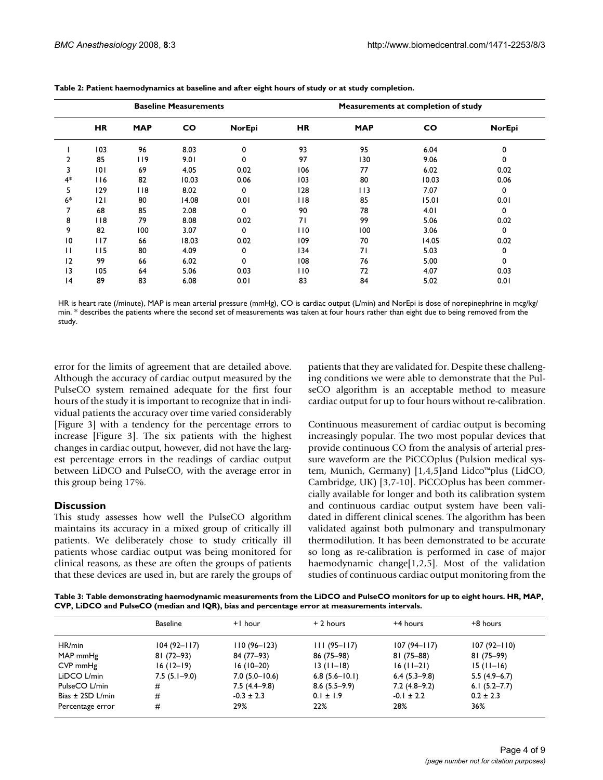|              | <b>Baseline Measurements</b> |            |           |               | Measurements at completion of study |            |           |        |
|--------------|------------------------------|------------|-----------|---------------|-------------------------------------|------------|-----------|--------|
|              | <b>HR</b>                    | <b>MAP</b> | <b>CO</b> | <b>NorEpi</b> | <b>HR</b>                           | <b>MAP</b> | <b>CO</b> | NorEpi |
|              | 103                          | 96         | 8.03      | 0             | 93                                  | 95         | 6.04      | 0      |
| 2            | 85                           | 119        | 9.01      | 0             | 97                                  | 130        | 9.06      | 0      |
| 3            | 101                          | 69         | 4.05      | 0.02          | 106                                 | 77         | 6.02      | 0.02   |
| $4*$         | 116                          | 82         | 10.03     | 0.06          | 103                                 | 80         | 10.03     | 0.06   |
| 5            | 129                          | 118        | 8.02      | 0             | 128                                 | 113        | 7.07      | 0      |
| $6*$         | 2                            | 80         | 14.08     | 0.01          | 118                                 | 85         | 15.01     | 0.01   |
| 7            | 68                           | 85         | 2.08      | 0             | 90                                  | 78         | 4.01      | 0      |
| 8            | <b>118</b>                   | 79         | 8.08      | 0.02          | 71                                  | 99         | 5.06      | 0.02   |
| 9            | 82                           | 100        | 3.07      | $\mathbf 0$   | 110                                 | 100        | 3.06      | 0      |
| 10           | 117                          | 66         | 18.03     | 0.02          | 109                                 | 70         | 14.05     | 0.02   |
| $\mathbf{H}$ | 115                          | 80         | 4.09      | 0             | 134                                 | 71         | 5.03      | 0      |
| 12           | 99                           | 66         | 6.02      | 0             | 108                                 | 76         | 5.00      | 0      |
| 13           | 105                          | 64         | 5.06      | 0.03          | 110                                 | 72         | 4.07      | 0.03   |
| 4            | 89                           | 83         | 6.08      | 0.01          | 83                                  | 84         | 5.02      | 0.01   |

**Table 2: Patient haemodynamics at baseline and after eight hours of study or at study completion.** 

HR is heart rate (/minute), MAP is mean arterial pressure (mmHg), CO is cardiac output (L/min) and NorEpi is dose of norepinephrine in mcg/kg/ min. \* describes the patients where the second set of measurements was taken at four hours rather than eight due to being removed from the study.

error for the limits of agreement that are detailed above. Although the accuracy of cardiac output measured by the PulseCO system remained adequate for the first four hours of the study it is important to recognize that in individual patients the accuracy over time varied considerably [Figure 3] with a tendency for the percentage errors to increase [Figure 3]. The six patients with the highest changes in cardiac output, however, did not have the largest percentage errors in the readings of cardiac output between LiDCO and PulseCO, with the average error in this group being 17%.

#### **Discussion**

This study assesses how well the PulseCO algorithm maintains its accuracy in a mixed group of critically ill patients. We deliberately chose to study critically ill patients whose cardiac output was being monitored for clinical reasons, as these are often the groups of patients that these devices are used in, but are rarely the groups of patients that they are validated for. Despite these challenging conditions we were able to demonstrate that the PulseCO algorithm is an acceptable method to measure cardiac output for up to four hours without re-calibration.

Continuous measurement of cardiac output is becoming increasingly popular. The two most popular devices that provide continuous CO from the analysis of arterial pressure waveform are the PiCCOplus (Pulsion medical system, Munich, Germany) [1,4,5]and Lidco™plus (LidCO, Cambridge, UK) [3,7-10]. PiCCOplus has been commercially available for longer and both its calibration system and continuous cardiac output system have been validated in different clinical scenes. The algorithm has been validated against both pulmonary and transpulmonary thermodilution. It has been demonstrated to be accurate so long as re-calibration is performed in case of major haemodynamic change[1,2,5]. Most of the validation studies of continuous cardiac output monitoring from the

**Table 3: Table demonstrating haemodynamic measurements from the LiDCO and PulseCO monitors for up to eight hours. HR, MAP, CVP, LiDCO and PulseCO (median and IQR), bias and percentage error at measurements intervals.**

|                      | <b>Baseline</b> | +1 hour           | $+2$ hours        | +4 hours       | +8 hours         |
|----------------------|-----------------|-------------------|-------------------|----------------|------------------|
| HR/min               | $104(92 - 117)$ | $110(96 - 123)$   | $111(95-117)$     | $107(94-117)$  | $107(92 - 110)$  |
| MAP mmHg             | $81(72-93)$     | 84 (77-93)        | 86 (75–98)        | $81(75-88)$    | 81 (75–99)       |
| CVP mmHg             | $16(12-19)$     | $16(10-20)$       | $13(11-18)$       | $16(11-21)$    | $15(11-16)$      |
| LiDCO L/min          | $7.5(5.1-9.0)$  | $7.0(5.0 - 10.6)$ | $6.8(5.6 - 10.1)$ | $6.4(5.3-9.8)$ | $5.5(4.9-6.7)$   |
| PulseCO L/min        | #               | $7.5(4.4-9.8)$    | $8.6(5.5-9.9)$    | $7.2(4.8-9.2)$ | $6.1(5.2 - 7.7)$ |
| Bias $\pm$ 2SD L/min | #               | $-0.3 \pm 2.3$    | $0.1 \pm 1.9$     | $-0.1 \pm 2.2$ | $0.2 \pm 2.3$    |
| Percentage error     | #               | 29%               | 22%               | 28%            | 36%              |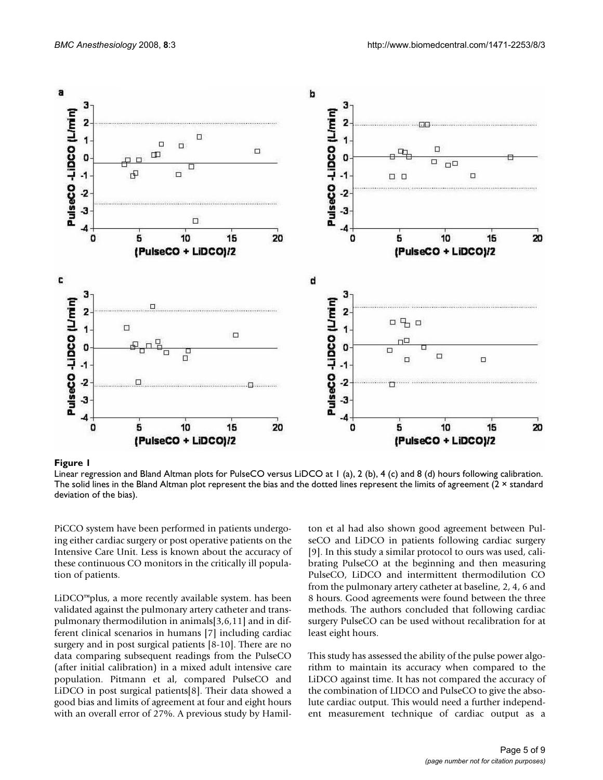

#### Linear regression and Bland Altman plots fo **Figure 1** r PulseCO versus LiDCO at 1 (a), 2 (b), 4 (c) and 8 (d) hours following calibration

Linear regression and Bland Altman plots for PulseCO versus LiDCO at 1 (a), 2 (b), 4 (c) and 8 (d) hours following calibration. The solid lines in the Bland Altman plot represent the bias and the dotted lines represent the limits of agreement (2 × standard deviation of the bias).

PiCCO system have been performed in patients undergoing either cardiac surgery or post operative patients on the Intensive Care Unit. Less is known about the accuracy of these continuous CO monitors in the critically ill population of patients.

LiDCO™plus, a more recently available system. has been validated against the pulmonary artery catheter and transpulmonary thermodilution in animals[3,6,11] and in different clinical scenarios in humans [7] including cardiac surgery and in post surgical patients [8-10]. There are no data comparing subsequent readings from the PulseCO (after initial calibration) in a mixed adult intensive care population. Pitmann et al, compared PulseCO and LiDCO in post surgical patients[8]. Their data showed a good bias and limits of agreement at four and eight hours with an overall error of 27%. A previous study by Hamilton et al had also shown good agreement between PulseCO and LiDCO in patients following cardiac surgery [9]. In this study a similar protocol to ours was used, calibrating PulseCO at the beginning and then measuring PulseCO, LiDCO and intermittent thermodilution CO from the pulmonary artery catheter at baseline, 2, 4, 6 and 8 hours. Good agreements were found between the three methods. The authors concluded that following cardiac surgery PulseCO can be used without recalibration for at least eight hours.

This study has assessed the ability of the pulse power algorithm to maintain its accuracy when compared to the LiDCO against time. It has not compared the accuracy of the combination of LIDCO and PulseCO to give the absolute cardiac output. This would need a further independent measurement technique of cardiac output as a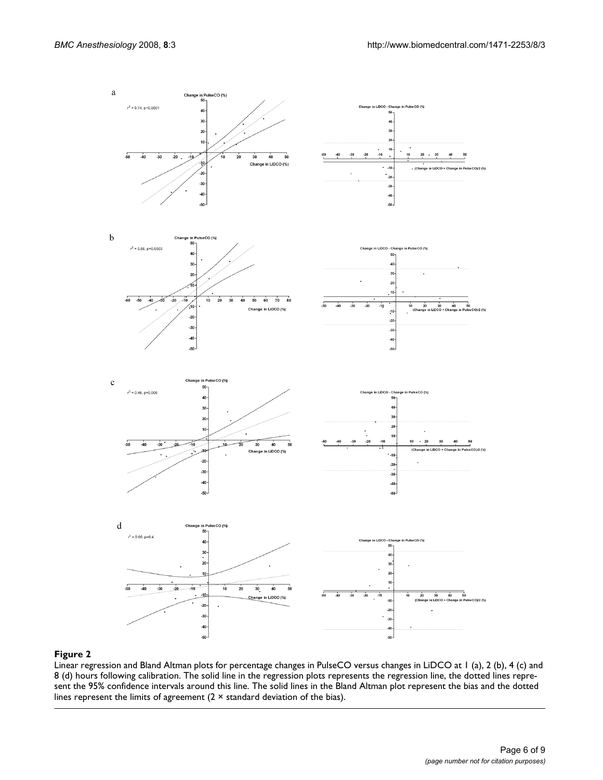

Linear regression and Bland Altman plots for percentage changes in PulseCO versus changes in LiDCO at 1 (a), 2 (b), 4 (c) and 8 (d) hours following calibration. The solid line in the regression plots represents the regression line, the dotted lines represent the 95% confidence intervals around this line. The solid lines in the Bland Altman plot represent the bias and the dotted lines represent the limits of agreement  $(2 \times$  standard deviation of the bias).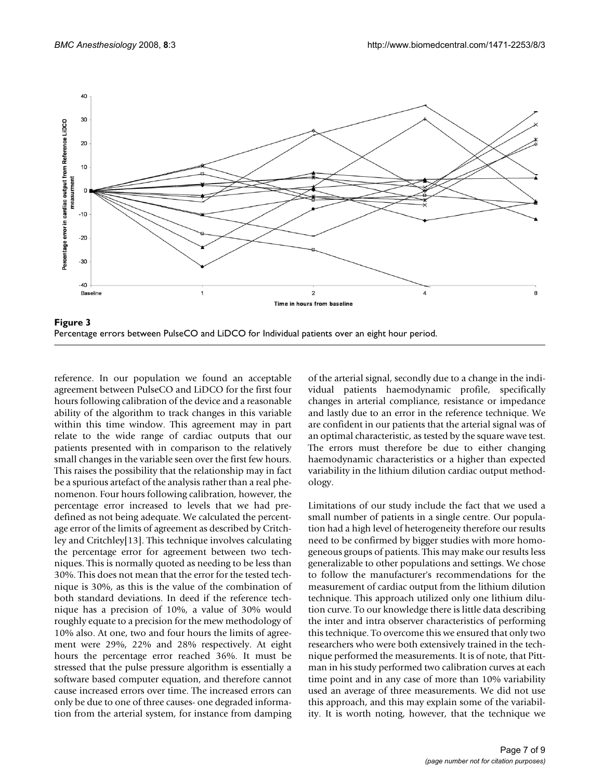

reference. In our population we found an acceptable agreement between PulseCO and LiDCO for the first four hours following calibration of the device and a reasonable ability of the algorithm to track changes in this variable within this time window. This agreement may in part relate to the wide range of cardiac outputs that our patients presented with in comparison to the relatively small changes in the variable seen over the first few hours. This raises the possibility that the relationship may in fact be a spurious artefact of the analysis rather than a real phenomenon. Four hours following calibration, however, the percentage error increased to levels that we had predefined as not being adequate. We calculated the percentage error of the limits of agreement as described by Critchley and Critchley[13]. This technique involves calculating the percentage error for agreement between two techniques. This is normally quoted as needing to be less than 30%. This does not mean that the error for the tested technique is 30%, as this is the value of the combination of both standard deviations. In deed if the reference technique has a precision of 10%, a value of 30% would roughly equate to a precision for the mew methodology of 10% also. At one, two and four hours the limits of agreement were 29%, 22% and 28% respectively. At eight hours the percentage error reached 36%. It must be stressed that the pulse pressure algorithm is essentially a software based computer equation, and therefore cannot cause increased errors over time. The increased errors can only be due to one of three causes- one degraded information from the arterial system, for instance from damping of the arterial signal, secondly due to a change in the individual patients haemodynamic profile, specifically changes in arterial compliance, resistance or impedance and lastly due to an error in the reference technique. We are confident in our patients that the arterial signal was of an optimal characteristic, as tested by the square wave test. The errors must therefore be due to either changing haemodynamic characteristics or a higher than expected variability in the lithium dilution cardiac output methodology.

Limitations of our study include the fact that we used a small number of patients in a single centre. Our population had a high level of heterogeneity therefore our results need to be confirmed by bigger studies with more homogeneous groups of patients. This may make our results less generalizable to other populations and settings. We chose to follow the manufacturer's recommendations for the measurement of cardiac output from the lithium dilution technique. This approach utilized only one lithium dilution curve. To our knowledge there is little data describing the inter and intra observer characteristics of performing this technique. To overcome this we ensured that only two researchers who were both extensively trained in the technique performed the measurements. It is of note, that Pittman in his study performed two calibration curves at each time point and in any case of more than 10% variability used an average of three measurements. We did not use this approach, and this may explain some of the variability. It is worth noting, however, that the technique we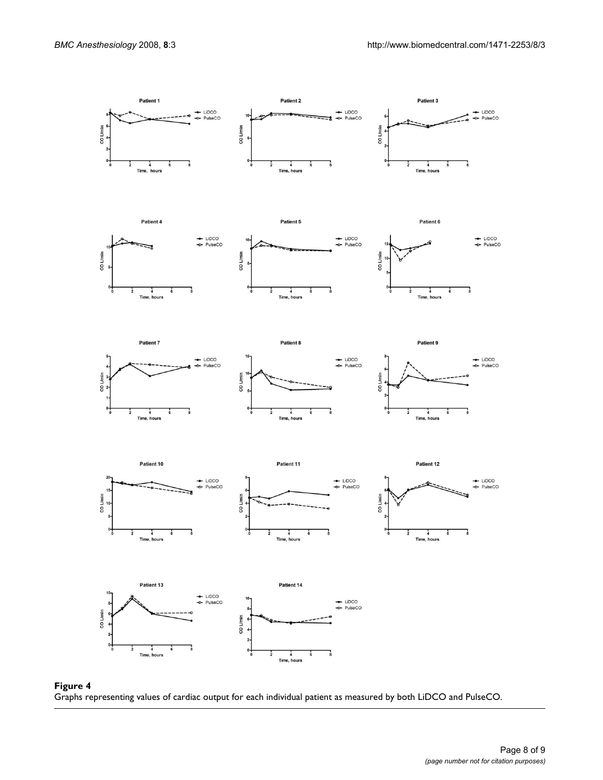